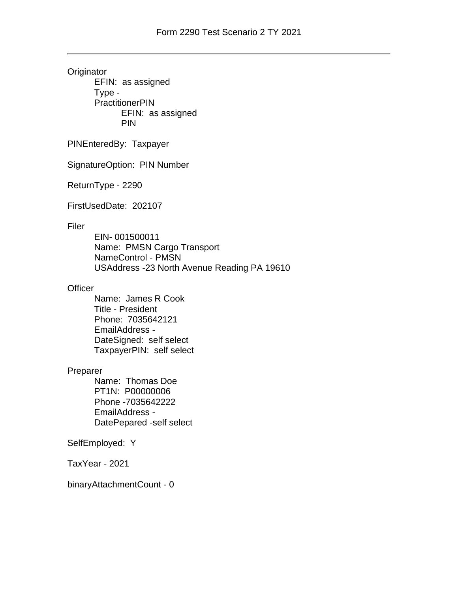**Originator** EFIN: as assigned Type - **PractitionerPIN** EFIN: as assigned PIN

PINEnteredBy: Taxpayer

SignatureOption: PIN Number

ReturnType - 2290

FirstUsedDate: 202107

## Filer

EIN- 001500011 Name: PMSN Cargo Transport NameControl - PMSN USAddress -23 North Avenue Reading PA 19610

# **Officer**

Name: James R Cook Title - President Phone: 7035642121 EmailAddress - DateSigned: self select TaxpayerPIN: self select

### Preparer

Name: Thomas Doe PT1N: P00000006 Phone -7035642222 EmailAddress - DatePepared -self select

## SelfEmployed: Y

TaxYear - 2021

binaryAttachmentCount - 0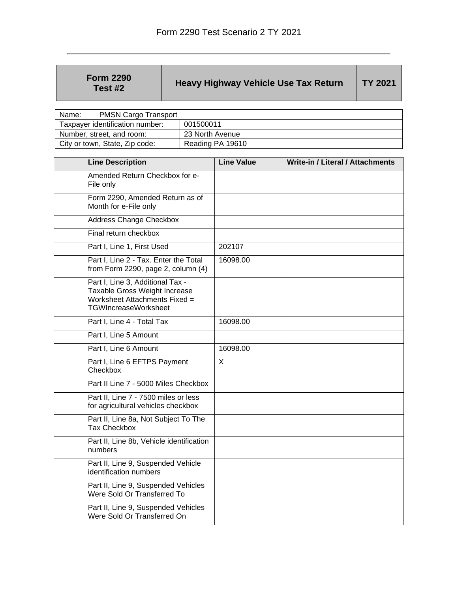| <b>Form 2290</b><br>Test #2 | <b>Heavy Highway Vehicle Use Tax Return</b> | <b>TY 2021</b> |
|-----------------------------|---------------------------------------------|----------------|
|-----------------------------|---------------------------------------------|----------------|

| Name:                           | <b>PMSN Cargo Transport</b> |                  |  |
|---------------------------------|-----------------------------|------------------|--|
| Taxpayer identification number: |                             | 001500011        |  |
| Number, street, and room:       |                             | 23 North Avenue  |  |
| City or town, State, Zip code:  |                             | Reading PA 19610 |  |

| <b>Line Description</b>                                                                                                           | <b>Line Value</b> | <b>Write-in / Literal / Attachments</b> |
|-----------------------------------------------------------------------------------------------------------------------------------|-------------------|-----------------------------------------|
| Amended Return Checkbox for e-<br>File only                                                                                       |                   |                                         |
| Form 2290, Amended Return as of<br>Month for e-File only                                                                          |                   |                                         |
| <b>Address Change Checkbox</b>                                                                                                    |                   |                                         |
| Final return checkbox                                                                                                             |                   |                                         |
| Part I, Line 1, First Used                                                                                                        | 202107            |                                         |
| Part I, Line 2 - Tax. Enter the Total<br>from Form 2290, page 2, column (4)                                                       | 16098.00          |                                         |
| Part I, Line 3, Additional Tax -<br>Taxable Gross Weight Increase<br>Worksheet Attachments Fixed =<br><b>TGWIncreaseWorksheet</b> |                   |                                         |
| Part I, Line 4 - Total Tax                                                                                                        | 16098.00          |                                         |
| Part I, Line 5 Amount                                                                                                             |                   |                                         |
| Part I, Line 6 Amount                                                                                                             | 16098.00          |                                         |
| Part I, Line 6 EFTPS Payment<br>Checkbox                                                                                          | $\sf X$           |                                         |
| Part II Line 7 - 5000 Miles Checkbox                                                                                              |                   |                                         |
| Part II, Line 7 - 7500 miles or less<br>for agricultural vehicles checkbox                                                        |                   |                                         |
| Part II, Line 8a, Not Subject To The<br><b>Tax Checkbox</b>                                                                       |                   |                                         |
| Part II, Line 8b, Vehicle identification<br>numbers                                                                               |                   |                                         |
| Part II, Line 9, Suspended Vehicle<br>identification numbers                                                                      |                   |                                         |
| Part II, Line 9, Suspended Vehicles<br>Were Sold Or Transferred To                                                                |                   |                                         |
| Part II, Line 9, Suspended Vehicles<br>Were Sold Or Transferred On                                                                |                   |                                         |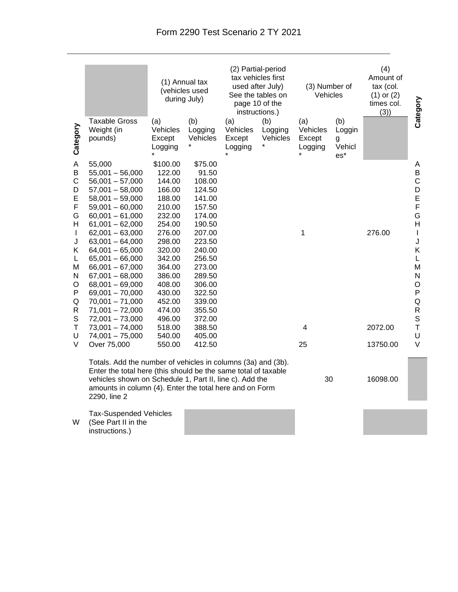|                                                                                                                                 | <b>Taxable Gross</b>                                                                                                                                                                                                                                                                                                                                                                                                  | (1) Annual tax<br>(vehicles used<br>during July)                                                                                                                                                       |                                                                                                                                                                                                      | (2) Partial-period<br>tax vehicles first<br>used after July)<br>See the tables on<br>page 10 of the<br>instructions.) |                            | (3) Number of<br>Vehicles                       |                                                 | (4)<br>Amount of<br>tax (col.<br>$(1)$ or $(2)$<br>times col.<br>(3) | Category                                                                                                                                      |
|---------------------------------------------------------------------------------------------------------------------------------|-----------------------------------------------------------------------------------------------------------------------------------------------------------------------------------------------------------------------------------------------------------------------------------------------------------------------------------------------------------------------------------------------------------------------|--------------------------------------------------------------------------------------------------------------------------------------------------------------------------------------------------------|------------------------------------------------------------------------------------------------------------------------------------------------------------------------------------------------------|-----------------------------------------------------------------------------------------------------------------------|----------------------------|-------------------------------------------------|-------------------------------------------------|----------------------------------------------------------------------|-----------------------------------------------------------------------------------------------------------------------------------------------|
| Category                                                                                                                        | Weight (in<br>pounds)                                                                                                                                                                                                                                                                                                                                                                                                 | (a)<br>Vehicles<br>Except<br>Logging<br>$\star$                                                                                                                                                        | (b)<br>Logging<br>Vehicles                                                                                                                                                                           | (a)<br>Vehicles<br>Except<br>Logging                                                                                  | (b)<br>Logging<br>Vehicles | (a)<br>Vehicles<br>Except<br>Logging<br>$\star$ | (b)<br>Loggin<br>g<br>Vehicl<br>$\mathsf{es}^*$ |                                                                      |                                                                                                                                               |
| A<br>B<br>$\mathsf C$<br>D<br>Е<br>F<br>G<br>Н<br>$\mathbf{I}$<br>J<br>Κ<br>L<br>M<br>N<br>O<br>P<br>Q<br>R<br>$\mathbb S$<br>Τ | 55,000<br>$55,001 - 56,000$<br>$56,001 - 57,000$<br>$57,001 - 58,000$<br>$58,001 - 59,000$<br>$59,001 - 60,000$<br>$60,001 - 61,000$<br>$61,001 - 62,000$<br>$62,001 - 63,000$<br>$63,001 - 64,000$<br>$64,001 - 65,000$<br>$65,001 - 66,000$<br>$66,001 - 67,000$<br>$67,001 - 68,000$<br>$68,001 - 69,000$<br>$69,001 - 70,000$<br>$70,001 - 71,000$<br>$71,001 - 72,000$<br>$72,001 - 73,000$<br>$73,001 - 74,000$ | \$100.00<br>122.00<br>144.00<br>166.00<br>188.00<br>210.00<br>232.00<br>254.00<br>276.00<br>298.00<br>320.00<br>342.00<br>364.00<br>386.00<br>408.00<br>430.00<br>452.00<br>474.00<br>496.00<br>518.00 | \$75.00<br>91.50<br>108.00<br>124.50<br>141.00<br>157.50<br>174.00<br>190.50<br>207.00<br>223.50<br>240.00<br>256.50<br>273.00<br>289.50<br>306.00<br>322.50<br>339.00<br>355.50<br>372.00<br>388.50 |                                                                                                                       |                            | 1<br>4                                          |                                                 | 276.00<br>2072.00                                                    | Α<br>B<br>$\mathsf C$<br>D<br>E<br>F<br>G<br>H<br>$\mathsf{I}$<br>J<br>Κ<br>L<br>M<br>N<br>O<br>P<br>$\sf Q$<br>${\sf R}$<br>$\mathsf S$<br>T |
| U<br>V                                                                                                                          | $74,001 - 75,000$<br>Over 75,000                                                                                                                                                                                                                                                                                                                                                                                      | 540.00<br>550.00                                                                                                                                                                                       | 405.00<br>412.50                                                                                                                                                                                     |                                                                                                                       |                            | 25                                              |                                                 | 13750.00                                                             | U<br>$\vee$                                                                                                                                   |
|                                                                                                                                 | Totals. Add the number of vehicles in columns (3a) and (3b).<br>Enter the total here (this should be the same total of taxable<br>vehicles shown on Schedule 1, Part II, line c). Add the<br>amounts in column (4). Enter the total here and on Form<br>2290, line 2                                                                                                                                                  |                                                                                                                                                                                                        |                                                                                                                                                                                                      |                                                                                                                       |                            | 30                                              |                                                 | 16098.00                                                             |                                                                                                                                               |

Tax-Suspended Vehicles (See Part II in the

W instructions.)